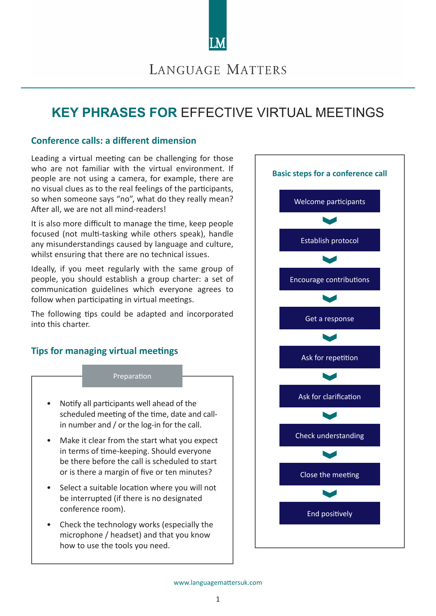

# LANGUAGE MATTERS

# **KEY PHRASES FOR** EFFECTIVE VIRTUAL MEETINGS

## **Conference calls: a different dimension**

Leading a virtual meeting can be challenging for those who are not familiar with the virtual environment. If people are not using a camera, for example, there are no visual clues as to the real feelings of the participants, so when someone says "no", what do they really mean? After all, we are not all mind-readers!

It is also more difficult to manage the time, keep people focused (not multi-tasking while others speak), handle any misunderstandings caused by language and culture, whilst ensuring that there are no technical issues.

Ideally, if you meet regularly with the same group of people, you should establish a group charter: a set of communication guidelines which everyone agrees to follow when participating in virtual meetings.

The following tips could be adapted and incorporated into this charter.

# **Tips for managing virtual meetings**

### Preparation

- Notify all participants well ahead of the scheduled meeting of the time, date and callin number and / or the log-in for the call.
- Make it clear from the start what you expect in terms of time-keeping. Should everyone be there before the call is scheduled to start or is there a margin of five or ten minutes?
- Select a suitable location where you will not be interrupted (if there is no designated conference room).
- Check the technology works (especially the microphone / headset) and that you know how to use the tools you need.

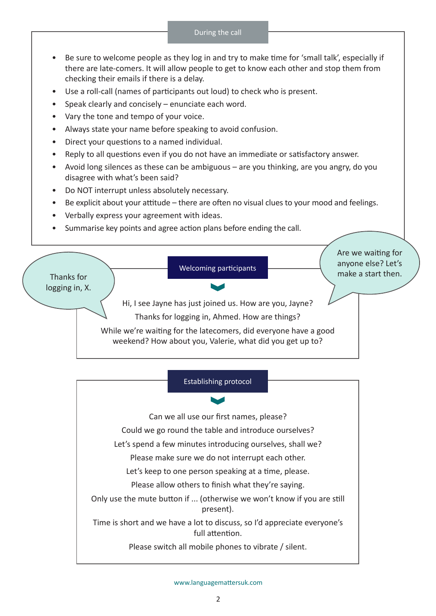- Be sure to welcome people as they log in and try to make time for 'small talk', especially if there are late-comers. It will allow people to get to know each other and stop them from checking their emails if there is a delay.
- Use a roll-call (names of participants out loud) to check who is present.
- Speak clearly and concisely enunciate each word.
- Vary the tone and tempo of your voice.
- Always state your name before speaking to avoid confusion.
- Direct your questions to a named individual.
- Reply to all questions even if you do not have an immediate or satisfactory answer.
- Avoid long silences as these can be ambiguous are you thinking, are you angry, do you disagree with what's been said?
- Do NOT interrupt unless absolutely necessary.
- Be explicit about your attitude there are often no visual clues to your mood and feelings.
- Verbally express your agreement with ideas.
- Summarise key points and agree action plans before ending the call.





Can we all use our first names, please?

Could we go round the table and introduce ourselves?

Let's spend a few minutes introducing ourselves, shall we?

Please make sure we do not interrupt each other.

Let's keep to one person speaking at a time, please.

Please allow others to finish what they're saying.

Only use the mute button if ... (otherwise we won't know if you are still present).

Time is short and we have a lot to discuss, so I'd appreciate everyone's full attention.

Please switch all mobile phones to vibrate / silent.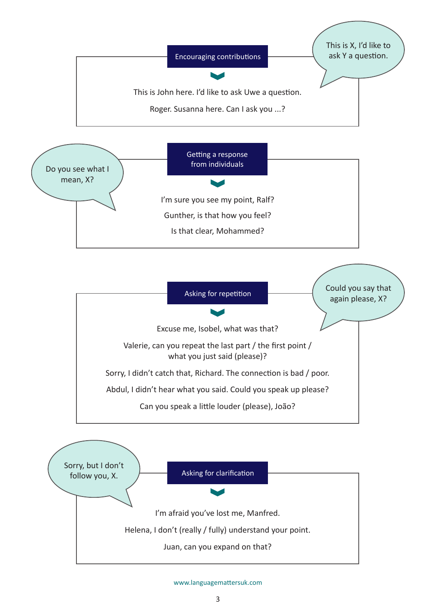

Helena, I don't (really / fully) understand your point.

Juan, can you expand on that?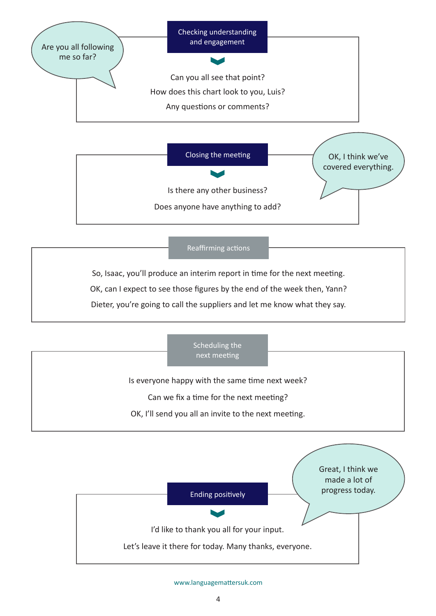

So, Isaac, you'll produce an interim report in time for the next meeting.

OK, can I expect to see those figures by the end of the week then, Yann?

Dieter, you're going to call the suppliers and let me know what they say.



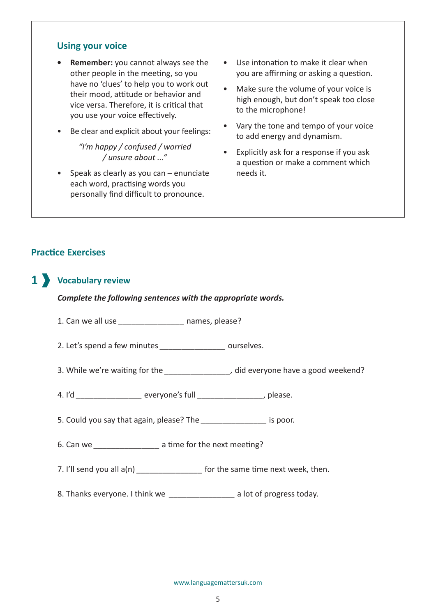## **Using your voice**

- **• Remember:** you cannot always see the other people in the meeting, so you have no 'clues' to help you to work out their mood, attitude or behavior and vice versa. Therefore, it is critical that you use your voice effectively.
- Be clear and explicit about your feelings:

*"I'm happy / confused / worried / unsure about ..."*

• Speak as clearly as you can – enunciate each word, practising words you personally find difficult to pronounce.

- Use intonation to make it clear when you are affirming or asking a question.
- Make sure the volume of your voice is high enough, but don't speak too close to the microphone!
- Vary the tone and tempo of your voice to add energy and dynamism.
- Explicitly ask for a response if you ask a question or make a comment which needs it.

# **Practice Exercises**

# **Vocabulary review 1**

### *Complete the following sentences with the appropriate words.*

- 1. Can we all use *\_\_\_\_\_\_\_\_\_\_\_\_\_\_\_* names, please?
- 2. Let's spend a few minutes *\_\_\_\_\_\_\_\_\_\_\_\_\_\_\_* ourselves.
- 3. While we're waiting for the *\_\_\_\_\_\_\_\_\_\_\_\_\_\_\_,* did everyone have a good weekend?
- 4. I'd *\_\_\_\_\_\_\_\_\_\_\_\_\_\_\_* everyone's full *\_\_\_\_\_\_\_\_\_\_\_\_\_\_\_*, please.
- 5. Could you say that again, please? The *\_\_\_\_\_\_\_\_\_\_\_\_\_\_\_* is poor.
- 6. Can we *\_\_\_\_\_\_\_\_\_\_\_\_\_\_\_* a time for the next meeting?
- 7. I'll send you all  $a(n)$  *leads to the same time next week, then.*
- 8. Thanks everyone. I think we *\_\_\_\_\_\_\_\_\_\_\_\_\_\_\_* a lot of progress today.